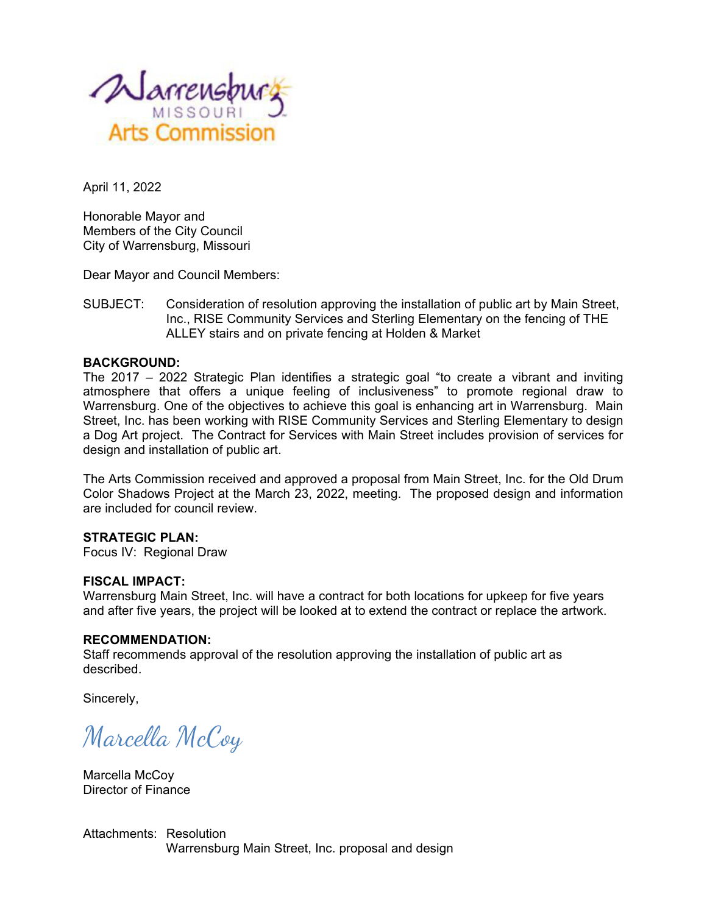

April 11, 2022

Honorable Mayor and Members of the City Council City of Warrensburg, Missouri

Dear Mayor and Council Members:

SUBJECT: Consideration of resolution approving the installation of public art by Main Street, Inc., RISE Community Services and Sterling Elementary on the fencing of THE ALLEY stairs and on private fencing at Holden & Market

## **BACKGROUND:**

The 2017 – 2022 Strategic Plan identifies a strategic goal "to create a vibrant and inviting atmosphere that offers a unique feeling of inclusiveness" to promote regional draw to Warrensburg. One of the objectives to achieve this goal is enhancing art in Warrensburg. Main Street, Inc. has been working with RISE Community Services and Sterling Elementary to design a Dog Art project. The Contract for Services with Main Street includes provision of services for design and installation of public art.

The Arts Commission received and approved a proposal from Main Street, Inc. for the Old Drum Color Shadows Project at the March 23, 2022, meeting. The proposed design and information are included for council review.

## **STRATEGIC PLAN:**

Focus IV: Regional Draw

#### **FISCAL IMPACT:**

Warrensburg Main Street, Inc. will have a contract for both locations for upkeep for five years and after five years, the project will be looked at to extend the contract or replace the artwork.

#### **RECOMMENDATION:**

Staff recommends approval of the resolution approving the installation of public art as described.

Sincerely,

Marcella McCoy

Marcella McCoy Director of Finance

Attachments: Resolution Warrensburg Main Street, Inc. proposal and design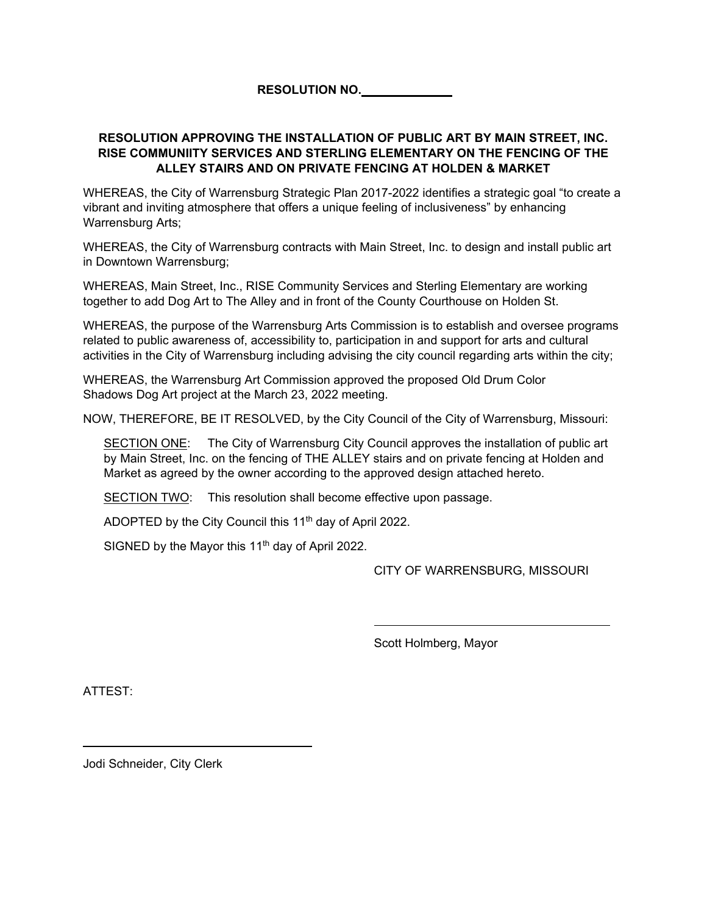**RESOLUTION NO.** 

## **RESOLUTION APPROVING THE INSTALLATION OF PUBLIC ART BY MAIN STREET, INC. RISE COMMUNIITY SERVICES AND STERLING ELEMENTARY ON THE FENCING OF THE ALLEY STAIRS AND ON PRIVATE FENCING AT HOLDEN & MARKET**

WHEREAS, the City of Warrensburg Strategic Plan 2017-2022 identifies a strategic goal "to create a vibrant and inviting atmosphere that offers a unique feeling of inclusiveness" by enhancing Warrensburg Arts;

WHEREAS, the City of Warrensburg contracts with Main Street, Inc. to design and install public art in Downtown Warrensburg;

WHEREAS, Main Street, Inc., RISE Community Services and Sterling Elementary are working together to add Dog Art to The Alley and in front of the County Courthouse on Holden St.

WHEREAS, the purpose of the Warrensburg Arts Commission is to establish and oversee programs related to public awareness of, accessibility to, participation in and support for arts and cultural activities in the City of Warrensburg including advising the city council regarding arts within the city;

WHEREAS, the Warrensburg Art Commission approved the proposed Old Drum Color Shadows Dog Art project at the March 23, 2022 meeting.

NOW, THEREFORE, BE IT RESOLVED, by the City Council of the City of Warrensburg, Missouri:

SECTION ONE: The City of Warrensburg City Council approves the installation of public art by Main Street, Inc. on the fencing of THE ALLEY stairs and on private fencing at Holden and Market as agreed by the owner according to the approved design attached hereto.

SECTION TWO: This resolution shall become effective upon passage.

ADOPTED by the City Council this 11<sup>th</sup> day of April 2022.

SIGNED by the Mayor this  $11<sup>th</sup>$  day of April 2022.

CITY OF WARRENSBURG, MISSOURI

Scott Holmberg, Mayor

ATTEST:

Jodi Schneider, City Clerk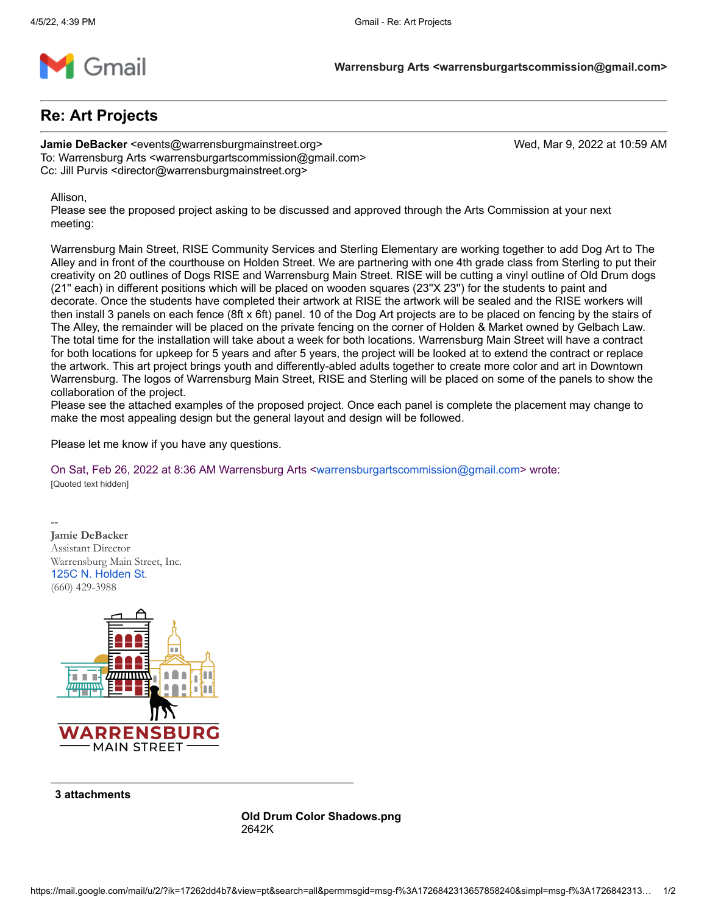

# **Re: Art Projects**

**Jamie DeBacker** <events@warrensburgmainstreet.org> Wed, Mar 9, 2022 at 10:59 AM To: Warrensburg Arts <warrensburgartscommission@gmail.com> Cc: Jill Purvis <director@warrensburgmainstreet.org>

Allison,

Please see the proposed project asking to be discussed and approved through the Arts Commission at your next meeting:

Warrensburg Main Street, RISE Community Services and Sterling Elementary are working together to add Dog Art to The Alley and in front of the courthouse on Holden Street. We are partnering with one 4th grade class from Sterling to put their creativity on 20 outlines of Dogs RISE and Warrensburg Main Street. RISE will be cutting a vinyl outline of Old Drum dogs (21'' each) in different positions which will be placed on wooden squares (23''X 23'') for the students to paint and decorate. Once the students have completed their artwork at RISE the artwork will be sealed and the RISE workers will then install 3 panels on each fence (8ft x 6ft) panel. 10 of the Dog Art projects are to be placed on fencing by the stairs of The Alley, the remainder will be placed on the private fencing on the corner of Holden & Market owned by Gelbach Law. The total time for the installation will take about a week for both locations. Warrensburg Main Street will have a contract for both locations for upkeep for 5 years and after 5 years, the project will be looked at to extend the contract or replace the artwork. This art project brings youth and differently-abled adults together to create more color and art in Downtown Warrensburg. The logos of Warrensburg Main Street, RISE and Sterling will be placed on some of the panels to show the collaboration of the project.

Please see the attached examples of the proposed project. Once each panel is complete the placement may change to make the most appealing design but the general layout and design will be followed.

Please let me know if you have any questions.

On Sat, Feb 26, 2022 at 8:36 AM Warrensburg Arts [<warrensburgartscommission@gmail.com](mailto:warrensburgartscommission@gmail.com)> wrote: [Quoted text hidden]

-- **Jamie DeBacker** Assistant Director Warrensburg Main Street, Inc. [125C N. Holden St](https://www.google.com/maps/search/125C+N.+Holden+St?entry=gmail&source=g). (660) 429-3988



**3 attachments**

**Old Drum Color Shadows.png** 2642K